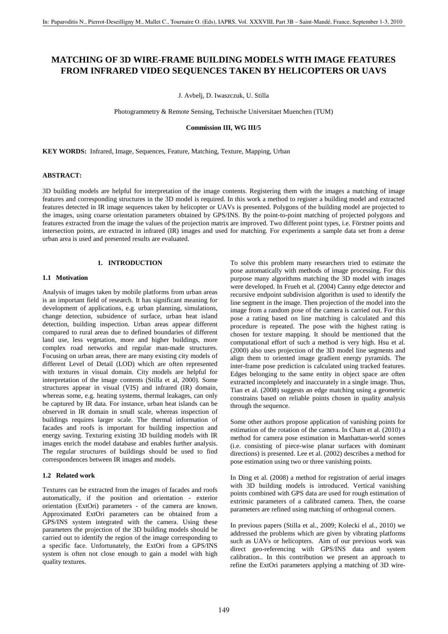# **MATCHING OF 3D WIRE-FRAME BUILDING MODELS WITH IMAGE FEATURES FROM INFRARED VIDEO SEQUENCES TAKEN BY HELICOPTERS OR UAVS**

J. Avbelj, D. Iwaszczuk, U. Stilla

Photogrammetry & Remote Sensing, Technische Universitaet Muenchen (TUM)

#### **Commission III, WG III/5**

**KEY WORDS:** Infrared, Image, Sequences, Feature, Matching, Texture, Mapping, Urban

#### **ABSTRACT:**

3D building models are helpful for interpretation of the image contents. Registering them with the images a matching of image features and corresponding structures in the 3D model is required. In this work a method to register a building model and extracted features detected in IR image sequences taken by helicopter or UAVs is presented. Polygons of the building model are projected to the images, using coarse orientation parameters obtained by GPS/INS. By the point-to-point matching of projected polygons and features extracted from the image the values of the projection matrix are improved. Two different point types, i.e. Förstner points and intersection points, are extracted in infrared (IR) images and used for matching. For experiments a sample data set from a dense urban area is used and presented results are evaluated.

## **1. INTRODUCTION**

## **1.1 Motivation**

Analysis of images taken by mobile platforms from urban areas is an important field of research. It has significant meaning for development of applications, e.g. urban planning, simulations, change detection, subsidence of surface, urban heat island detection, building inspection. Urban areas appear different compared to rural areas due to defined boundaries of different land use, less vegetation, more and higher buildings, more complex road networks and regular man-made structures. Focusing on urban areas, there are many existing city models of different Level of Detail (LOD) which are often represented with textures in visual domain. City models are helpful for interpretation of the image contents (Stilla et al, 2000). Some structures appear in visual (VIS) and infrared (IR) domain, whereas some, e.g. heating systems, thermal leakages, can only be captured by IR data. For instance, urban heat islands can be observed in IR domain in small scale, whereas inspection of buildings requires larger scale. The thermal information of facades and roofs is important for building inspection and energy saving. Texturing existing 3D building models with IR images enrich the model database and enables further analysis. The regular structures of buildings should be used to find correspondences between IR images and models.

## **1.2 Related work**

Textures can be extracted from the images of facades and roofs automatically, if the position and orientation - exterior orientation (ExtOri) parameters - of the camera are known. Approximated ExtOri parameters can be obtained from a GPS/INS system integrated with the camera. Using these parameters the projection of the 3D building models should be carried out to identify the region of the image corresponding to a specific face. Unfortunately, the ExtOri from a GPS/INS system is often not close enough to gain a model with high quality textures.

To solve this problem many researchers tried to estimate the pose automatically with methods of image processing. For this purpose many algorithms matching the 3D model with images were developed. In Frueh et al. (2004) Canny edge detector and recursive endpoint subdivision algorithm is used to identify the line segment in the image. Then projection of the model into the image from a random pose of the camera is carried out. For this pose a rating based on line matching is calculated and this procedure is repeated. The pose with the highest rating is chosen for texture mapping. It should be mentioned that the computational effort of such a method is very high. Hsu et al. (2000) also uses projection of the 3D model line segments and align them to oriented image gradient energy pyramids. The inter-frame pose prediction is calculated using tracked features. Edges belonging to the same entity in object space are often extracted incompletely and inaccurately in a single image. Thus, Tian et al. (2008) suggests an edge matching using a geometric constrains based on reliable points chosen in quality analysis through the sequence.

Some other authors propose application of vanishing points for estimation of the rotation of the camera. In Cham et al. (2010) a method for camera pose estimation in Manhattan-world scenes (i.e. consisting of piece-wise planar surfaces with dominant directions) is presented. Lee et al. (2002) describes a method for pose estimation using two or three vanishing points.

In Ding et al. (2008) a method for registration of aerial images with 3D building models is introduced. Vertical vanishing points combined with GPS data are used for rough estimation of extrinsic parameters of a calibrated camera. Then, the coarse parameters are refined using matching of orthogonal corners.

In previous papers (Stilla et al., 2009; Kolecki el al., 2010) we addressed the problems which are given by vibrating platforms such as UAVs or helicopters. Aim of our previous work was direct geo-referencing with GPS/INS data and system calibration.. In this contribution we present an approach to refine the ExtOri parameters applying a matching of 3D wire-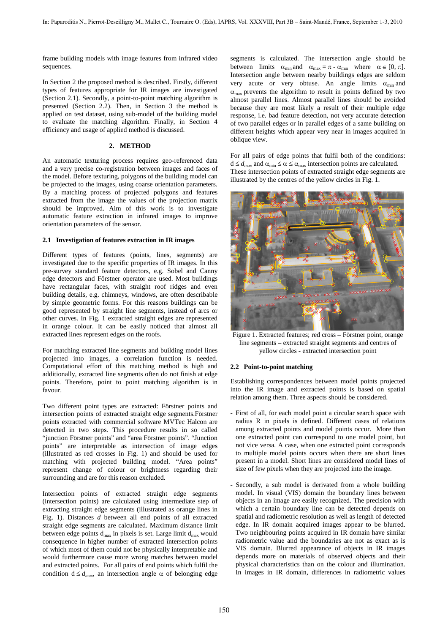frame building models with image features from infrared video sequences.

In Section 2 the proposed method is described. Firstly, different types of features appropriate for IR images are investigated (Section 2.1). Secondly, a point-to-point matching algorithm is presented (Section 2.2). Then, in Section 3 the method is applied on test dataset, using sub-model of the building model to evaluate the matching algorithm. Finally, in Section 4 efficiency and usage of applied method is discussed.

#### **2. METHOD**

An automatic texturing process requires geo-referenced data and a very precise co-registration between images and faces of the model. Before texturing, polygons of the building model can be projected to the images, using coarse orientation parameters. By a matching process of projected polygons and features extracted from the image the values of the projection matrix should be improved. Aim of this work is to investigate automatic feature extraction in infrared images to improve orientation parameters of the sensor.

## **2.1 Investigation of features extraction in IR images**

Different types of features (points, lines, segments) are investigated due to the specific properties of IR images. In this pre-survey standard feature detectors, e.g. Sobel and Canny edge detectors and Förstner operator are used. Most buildings have rectangular faces, with straight roof ridges and even building details, e.g. chimneys, windows, are often describable by simple geometric forms. For this reasons buildings can be good represented by straight line segments, instead of arcs or other curves. In Fig. 1 extracted straight edges are represented in orange colour. It can be easily noticed that almost all extracted lines represent edges on the roofs.

For matching extracted line segments and building model lines projected into images, a correlation function is needed. Computational effort of this matching method is high and additionally, extracted line segments often do not finish at edge points. Therefore, point to point matching algorithm is in favour.

Two different point types are extracted: Förstner points and intersection points of extracted straight edge segments.Förstner points extracted with commercial software MVTec Halcon are detected in two steps. This procedure results in so called "junction Förstner points" and "area Förstner points". "Junction points" are interpretable as intersection of image edges (illustrated as red crosses in Fig. 1) and should be used for matching with projected building model. "Area points" represent change of colour or brightness regarding their surrounding and are for this reason excluded.

Intersection points of extracted straight edge segments (intersection points) are calculated using intermediate step of extracting straight edge segments (illustrated as orange lines in Fig. 1). Distances *d* between all end points of all extracted straight edge segments are calculated. Maximum distance limit between edge points  $d_{max}$  in pixels is set. Large limit  $d_{max}$  would consequence in higher number of extracted intersection points of which most of them could not be physically interpretable and would furthermore cause more wrong matches between model and extracted points. For all pairs of end points which fulfil the condition  $d \leq d_{max}$ , an intersection angle  $\alpha$  of belonging edge

segments is calculated. The intersection angle should be between limits  $\alpha_{\min}$  and  $\alpha_{\max} = \pi - \alpha_{\min}$  where  $\alpha \in [0, \pi]$ . Intersection angle between nearby buildings edges are seldom very acute or very obtuse. An angle limits  $\alpha_{min}$  and  $\alpha_{\text{max}}$  prevents the algorithm to result in points defined by two almost parallel lines. Almost parallel lines should be avoided because they are most likely a result of their multiple edge response, i.e. bad feature detection, not very accurate detection of two parallel edges or in parallel edges of a same building on different heights which appear very near in images acquired in oblique view.

For all pairs of edge points that fulfil both of the conditions:  $d \le d_{max}$  and  $\alpha_{min} \le \alpha \le \alpha_{max}$  intersection points are calculated. These intersection points of extracted straight edge segments are illustrated by the centres of the yellow circles in Fig. 1.



Figure 1. Extracted features; red cross – Förstner point, orange line segments – extracted straight segments and centres of yellow circles - extracted intersection point

#### **2.2 Point-to-point matching**

Establishing correspondences between model points projected into the IR image and extracted points is based on spatial relation among them. Three aspects should be considered.

- First of all, for each model point a circular search space with radius R in pixels is defined. Different cases of relations among extracted points and model points occur. More than one extracted point can correspond to one model point, but not vice versa. A case, when one extracted point corresponds to multiple model points occurs when there are short lines present in a model. Short lines are considered model lines of size of few pixels when they are projected into the image.
- Secondly, a sub model is derivated from a whole building model. In visual (VIS) domain the boundary lines between objects in an image are easily recognized. The precision with which a certain boundary line can be detected depends on spatial and radiometric resolution as well as length of detected edge. In IR domain acquired images appear to be blurred. Two neighbouring points acquired in IR domain have similar radiometric value and the boundaries are not as exact as is VIS domain. Blurred appearance of objects in IR images depends more on materials of observed objects and their physical characteristics than on the colour and illumination. In images in IR domain, differences in radiometric values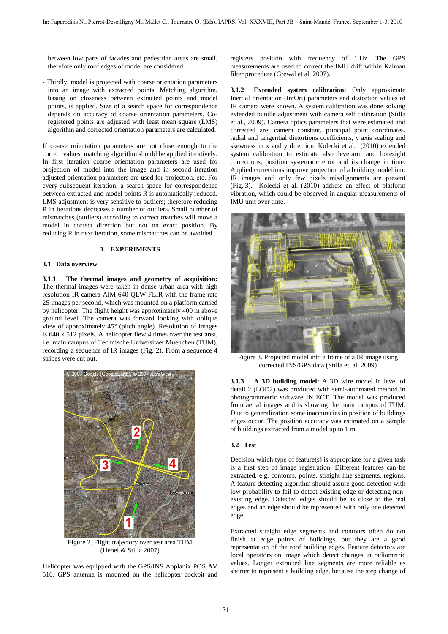between low parts of facades and pedestrian areas are small, therefore only roof edges of model are considered.

Thirdly, model is projected with coarse orientation parameters into an image with extracted points. Matching algorithm, basing on closeness between extracted points and model points, is applied. Size of a search space for correspondence depends on accuracy of coarse orientation parameters. Coregistered points are adjusted with least mean square (LMS) algorithm and corrected orientation parameters are calculated.

If coarse orientation parameters are not close enough to the correct values, matching algorithm should be applied iteratively. In first iteration coarse orientation parameters are used for projection of model into the image and in second iteration adjusted orientation parameters are used for projection, etc. For every subsequent iteration, a search space for correspondence between extracted and model points R is automatically reduced. LMS adjustment is very sensitive to outliers; therefore reducing R in iterations decreases a number of outliers. Small number of mismatches (outliers) according to correct matches will move a model in correct direction but not on exact position. By reducing R in next iteration, some mismatches can be awoided.

#### **3. EXPERIMENTS**

#### **3.1 Data overview**

**3.1.1 The thermal images and geometry of acquisition:**  The thermal images were taken in dense urban area with high resolution IR camera AIM 640 QLW FLIR with the frame rate 25 images per second, which was mounted on a platform carried by helicopter. The flight height was approximately 400 m above ground level. The camera was forward looking with oblique view of approximately 45° (pitch angle). Resolution of images is 640 x 512 pixels. A helicopter flew 4 times over the test area, i.e. main campus of Technische Universitaet Muenchen (TUM), recording a sequence of IR images (Fig. 2). From a sequence 4 stripes were cut out.



Figure 2. Flight trajectory over test area TUM (Hebel & Stilla 2007)

Helicopter was equipped with the GPS/INS Applanix POS AV 510. GPS antenna is mounted on the helicopter cockpit and registers position with frequency of 1 Hz. The GPS measurements are used to correct the IMU drift within Kalman filter procedure (Grewal et al, 2007).

**3.1.2 Extended system calibration:** Only approximate Inertial orientation (IntOri) parameters and distortion values of IR camera were known. A system calibration was done solving extended bundle adjustment with camera self calibration (Stilla et al., 2009). Camera optics parameters that were estimated and corrected are: camera constant, principal point coordinates, radial and tangential distortions coefficients, y axis scaling and skewness in x and y direction. Kolecki et al. (2010) extended system calibration to estimate also leverarm and boresight corrections, position systematic error and its change in time. Applied corrections improve projection of a building model into IR images and only few pixels misalignments are present (Fig. 3). Kolecki et al. (2010) address an effect of platform vibration, which could be observed in angular measurements of IMU unit over time.



Figure 3. Projected model into a frame of a IR image using corrected INS/GPS data (Stilla et. al. 2009)

**3.1.3 A 3D building model:** A 3D wire model in level of detail 2 (LOD2) was produced with semi-automated method in photogrammetric software INJECT. The model was produced from aerial images and is showing the main campus of TUM. Due to generalization some inaccuracies in position of buildings edges occur. The position accuracy was estimated on a sample of buildings extracted from a model up to 1 m.

## **3.2 Test**

Decision which type of feature(s) is appropriate for a given task is a first step of image registration. Different features can be extracted, e.g. contours, points, straight line segments, regions. A feature detecting algorithm should assure good detection with low probability to fail to detect existing edge or detecting nonexisting edge. Detected edges should be as close to the real edges and an edge should be represented with only one detected edge.

Extracted straight edge segments and contours often do not finish at edge points of buildings, but they are a good representation of the roof building edges. Feature detectors are local operators on image which detect changes in radiometric values. Longer extracted line segments are more reliable as shorter to represent a building edge, because the step change of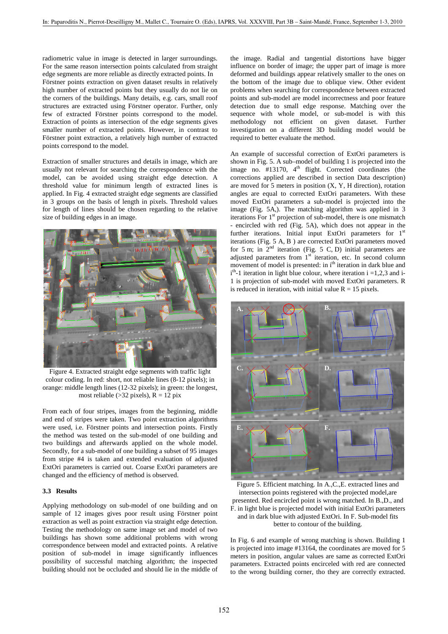radiometric value in image is detected in larger surroundings. For the same reason intersection points calculated from straight edge segments are more reliable as directly extracted points. In Förstner points extraction on given dataset results in relatively high number of extracted points but they usually do not lie on the corners of the buildings. Many details, e.g. cars, small roof structures are extracted using Förstner operator. Further, only few of extracted Förstner points correspond to the model. Extraction of points as intersection of the edge segments gives smaller number of extracted points. However, in contrast to Förstner point extraction, a relatively high number of extracted points correspond to the model.

Extraction of smaller structures and details in image, which are usually not relevant for searching the correspondence with the model, can be avoided using straight edge detection. A threshold value for minimum length of extracted lines is applied. In Fig. 4 extracted straight edge segments are classified in 3 groups on the basis of length in pixels. Threshold values for length of lines should be chosen regarding to the relative size of building edges in an image.



Figure 4. Extracted straight edge segments with traffic light colour coding. In red: short, not reliable lines (8-12 pixels); in orange: middle length lines (12-32 pixels); in green: the longest, most reliable ( $>32$  pixels),  $R = 12$  pix

From each of four stripes, images from the beginning, middle and end of stripes were taken. Two point extraction algorithms were used, i.e. Förstner points and intersection points. Firstly the method was tested on the sub-model of one building and two buildings and afterwards applied on the whole model. Secondly, for a sub-model of one building a subset of 95 images from stripe #4 is taken and extended evaluation of adjusted ExtOri parameters is carried out. Coarse ExtOri parameters are changed and the efficiency of method is observed.

#### **3.3 Results**

Applying methodology on sub-model of one building and on sample of 12 images gives poor result using Förstner point extraction as well as point extraction via straight edge detection. Testing the methodology on same image set and model of two buildings has shown some additional problems with wrong correspondence between model and extracted points. A relative position of sub-model in image significantly influences possibility of successful matching algorithm; the inspected building should not be occluded and should lie in the middle of the image. Radial and tangential distortions have bigger influence on border of image; the upper part of image is more deformed and buildings appear relatively smaller to the ones on the bottom of the image due to oblique view. Other evident problems when searching for correspondence between extracted points and sub-model are model incorrectness and poor feature detection due to small edge response. Matching over the sequence with whole model, or sub-model is with this methodology not efficient on given dataset. Further investigation on a different 3D building model would be required to better evaluate the method.

An example of successful correction of ExtOri parameters is shown in Fig. 5. A sub–model of building 1 is projected into the image no.  $\#13170$ ,  $4<sup>th</sup>$  flight. Corrected coordinates (the corrections applied are described in section Data description) are moved for 5 meters in position (X, Y, H direction), rotation angles are equal to corrected ExtOri parameters. With these moved ExtOri parameters a sub-model is projected into the image (Fig. 5A,). The matching algorithm was applied in 3 iterations For 1<sup>st</sup> projection of sub-model, there is one mismatch encircled with red (Fig. 5A), which does not appear in the further iterations. Initial input ExtOri parameters for 1<sup>st</sup> iterations (Fig. 5 A, B ) are corrected ExtOri parameters moved for 5 m; in  $2<sup>nd</sup>$  iteration (Fig. 5 C, D) initial parameters are adjusted parameters from  $1<sup>st</sup>$  iteration, etc. In second column movement of model is presented: in i<sup>th</sup> iteration in dark blue and  $i<sup>th</sup>$ -1 iteration in light blue colour, where iteration i =1,2,3 and i-1 is projection of sub-model with moved ExtOri parameters. R is reduced in iteration, with initial value  $R = 15$  pixels.



Figure 5. Efficient matching. In A.,C.,E. extracted lines and intersection points registered with the projected model,are presented. Red encircled point is wrong matched. In B.,D., and F. in light blue is projected model with initial ExtOri parameters and in dark blue with adjusted ExtOri. In F. Sub-model fits better to contour of the building.

In Fig. 6 and example of wrong matching is shown. Building 1 is projected into image #13164, the coordinates are moved for 5 meters in position, angular values are same as corrected ExtOri parameters. Extracted points encirceled with red are connected to the wrong building corner, tho they are correctly extracted.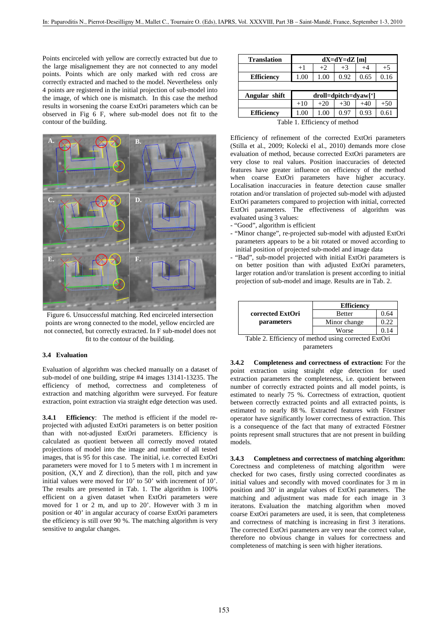Points encirceled with yellow are correctly extracted but due to the large misalignement they are not connected to any model points. Points which are only marked with red cross are correctly extracted and mached to the model. Nevertheless only 4 points are registered in the initial projection of sub-model into the image, of which one is mismatch. In this case the method results in worsening the coarse ExtOri parameters which can be observed in Fig 6 F, where sub-model does not fit to the contour of the building.



Figure 6. Unsuccessful matching. Red encirceled intersection points are wrong connected to the model, yellow encircled are not connected, but correctly extracted. In F sub-model does not fit to the contour of the building.

#### **3.4 Evaluation**

Evaluation of algorithm was checked manually on a dataset of sub-model of one building, stripe #4 images 13141-13235. The efficiency of method, correctness and completeness of extraction and matching algorithm were surveyed. For feature extraction, point extraction via straight edge detection was used.

**3.4.1 Efficiency**: The method is efficient if the model reprojected with adjusted ExtOri parameters is on better position than with not-adjusted ExtOri parameters. Efficiency is calculated as quotient between all correctly moved rotated projections of model into the image and number of all tested images, that is 95 for this case. The initial, i.e. corrected ExtOri parameters were moved for 1 to 5 meters with 1 m increment in position, (X,Y and Z direction), than the roll, pitch and yaw initial values were moved for 10' to 50' with increment of 10'. The results are presented in Tab. 1. The algorithm is 100% efficient on a given dataset when ExtOri parameters were moved for 1 or 2 m, and up to 20'. However with 3 m in position or 40' in angular accuracy of coarse ExtOri parameters the efficiency is still over 90 %. The matching algorithm is very sensitive to angular changes.

| <b>Translation</b> | $dX = dY = dZ$ [m]   |       |       |       |       |
|--------------------|----------------------|-------|-------|-------|-------|
|                    | $+1$                 | $+2$  | $+3$  | $+4$  | $+5$  |
| <b>Efficiency</b>  | 1.00                 | 1.00  | 0.92  | 0.65  | 0.16  |
|                    |                      |       |       |       |       |
| Angular shift      | droll=dpitch=dyaw['] |       |       |       |       |
|                    |                      |       |       |       |       |
|                    | $+10$                | $+20$ | $+30$ | $+40$ | $+50$ |
| <b>Efficiency</b>  | 1.00                 | 1.00  | 0.97  | 0.93  | 0.61  |

Table 1. Efficiency of method

Efficiency of refinement of the corrected ExtOri parameters (Stilla et al., 2009; Kolecki el al., 2010) demands more close evaluation of method, because corrected ExtOri parameters are very close to real values. Position inaccuracies of detected features have greater influence on efficiency of the method when coarse ExtOri parameters have higher accuracy. Localisation inaccuracies in feature detection cause smaller rotation and/or translation of projected sub-model with adjusted ExtOri parameters compared to projection with initial, corrected ExtOri parameters. The effectiveness of algorithm was evaluated using 3 values:

- "Good", algorithm is efficient
- "Minor change", re-projected sub-model with adjusted ExtOri parameters appears to be a bit rotated or moved according to initial position of projected sub-model and image data
- "Bad", sub-model projected with initial ExtOri parameters is on better position than with adjusted ExtOri parameters, larger rotation and/or translation is present according to initial projection of sub-model and image. Results are in Tab. 2.

|                   | <b>Efficiency</b> |      |  |
|-------------------|-------------------|------|--|
| corrected ExtOri  | Better            | 0.64 |  |
| <i>parameters</i> | Minor change      | 0.22 |  |
|                   | Worse             | 0 14 |  |

Table 2. Efficiency of method using corrected ExtOri parameters

**3.4.2 Completeness and correctness of extraction:** For the point extraction using straight edge detection for used extraction parameters the completeness, i.e. quotient between number of correctly extracted points and all model points, is estimated to nearly 75 %. Correctness of extraction, quotient between correctly extracted points and all extracted points, is estimated to nearly 88 %. Extracted features with Förstner operator have significantly lower correctness of extraction. This is a consequence of the fact that many of extracted Förstner points represent small structures that are not present in building models.

**3.4.3 Completness and correctness of matching algorithm:**  Corectness and completeness of matching algorithm were checked for two cases, firstly using corrected coordinates as initial values and secondly with moved coordinates for 3 m in position and 30' in angular values of ExtOri parameters. The matching and adjustment was made for each image in 3 iteratons. Evaluation the matching algorithm when moved coarse ExtOri parameters are used, it is seen, that completeness and correctness of matching is increasing in first 3 iterations. The corrected ExtOri parameters are very near the correct value, therefore no obvious change in values for correctness and completeness of matching is seen with higher iterations.